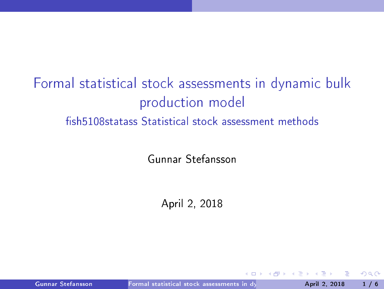# Formal statistical stock assessments in dynamic bulk production model fish 5108 statass Statistical stock assessment methods

Gunnar Stefansson

April 2, 2018

Gunnar Stefansson Formal statistical stock assessments in dynamics 2018 1/6

<span id="page-0-0"></span>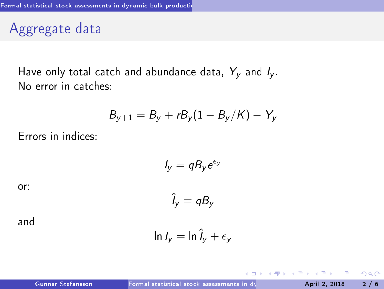Aggregate data

Have only total catch and abundance data,  $Y_v$  and  $I_v$ . No error in catches:

$$
B_{y+1}=B_y+rB_y(1-B_y/K)-Y_y
$$

Errors in indices:

$$
I_y = qB_y e^{\epsilon_y}
$$

$$
\hat{I}_y = qB_y
$$

or:

and

$$
\ln l_y = \ln \hat{l}_y + \epsilon_y
$$

 $\leftarrow$   $\Box$ 

<span id="page-1-0"></span> $QQ$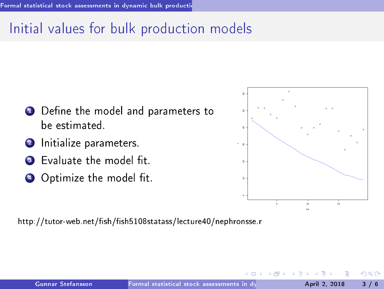## Initial values for bulk production models

- $\blacksquare$  Define the model and parameters to be estimated.
- 2 Initialize parameters.
- **3** Evaluate the model fit.
- $\bullet$  Optimize the model fit.

<span id="page-2-0"></span>

http://tutor-web.net/fish/fish5108statass/lecture40/nephronsse.r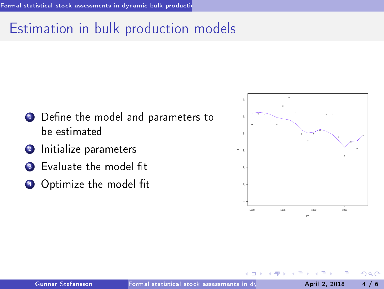### Estimation in bulk production models

- $\blacksquare$  Define the model and parameters to be estimated
- 2 Initialize parameters
- **3** Evaluate the model fit
- $\bullet$  Optimize the model fit

<span id="page-3-0"></span>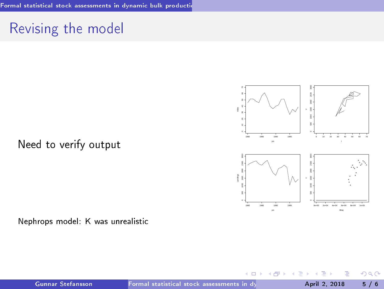### Revising the model





Nephrops model: <sup>K</sup> was unrealisti

 $\leftarrow$ 

<span id="page-4-0"></span> $QQ$